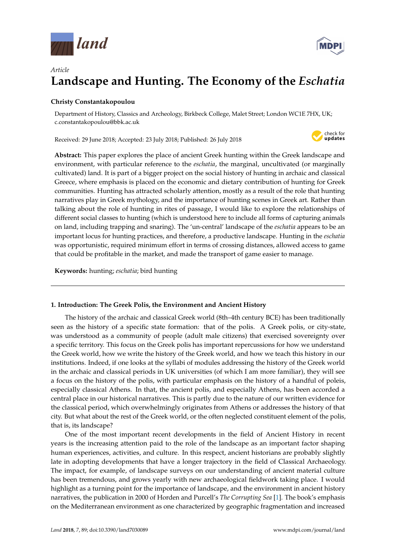



# *Article* **Landscape and Hunting. The Economy of the** *Eschatia*

## **Christy Constantakopoulou**

Department of History, Classics and Archeology, Birkbeck College, Malet Street; London WC1E 7HX, UK; c.constantakopoulou@bbk.ac.uk

Received: 29 June 2018; Accepted: 23 July 2018; Published: 26 July 2018



**Abstract:** This paper explores the place of ancient Greek hunting within the Greek landscape and environment, with particular reference to the *eschatia*, the marginal, uncultivated (or marginally cultivated) land. It is part of a bigger project on the social history of hunting in archaic and classical Greece, where emphasis is placed on the economic and dietary contribution of hunting for Greek communities. Hunting has attracted scholarly attention, mostly as a result of the role that hunting narratives play in Greek mythology, and the importance of hunting scenes in Greek art. Rather than talking about the role of hunting in rites of passage, I would like to explore the relationships of different social classes to hunting (which is understood here to include all forms of capturing animals on land, including trapping and snaring). The 'un-central' landscape of the *eschatia* appears to be an important locus for hunting practices, and therefore, a productive landscape. Hunting in the *eschatia* was opportunistic, required minimum effort in terms of crossing distances, allowed access to game that could be profitable in the market, and made the transport of game easier to manage.

**Keywords:** hunting; *eschatia*; bird hunting

## **1. Introduction: The Greek Polis, the Environment and Ancient History**

The history of the archaic and classical Greek world (8th–4th century BCE) has been traditionally seen as the history of a specific state formation: that of the polis. A Greek polis, or city-state, was understood as a community of people (adult male citizens) that exercised sovereignty over a specific territory. This focus on the Greek polis has important repercussions for how we understand the Greek world, how we write the history of the Greek world, and how we teach this history in our institutions. Indeed, if one looks at the syllabi of modules addressing the history of the Greek world in the archaic and classical periods in UK universities (of which I am more familiar), they will see a focus on the history of the polis, with particular emphasis on the history of a handful of poleis, especially classical Athens. In that, the ancient polis, and especially Athens, has been accorded a central place in our historical narratives. This is partly due to the nature of our written evidence for the classical period, which overwhelmingly originates from Athens or addresses the history of that city. But what about the rest of the Greek world, or the often neglected constituent element of the polis, that is, its landscape?

One of the most important recent developments in the field of Ancient History in recent years is the increasing attention paid to the role of the landscape as an important factor shaping human experiences, activities, and culture. In this respect, ancient historians are probably slightly late in adopting developments that have a longer trajectory in the field of Classical Archaeology. The impact, for example, of landscape surveys on our understanding of ancient material culture has been tremendous, and grows yearly with new archaeological fieldwork taking place. I would highlight as a turning point for the importance of landscape, and the environment in ancient history narratives, the publication in 2000 of Horden and Purcell's *The Corrupting Sea* [\[1\]](#page-7-0). The book's emphasis on the Mediterranean environment as one characterized by geographic fragmentation and increased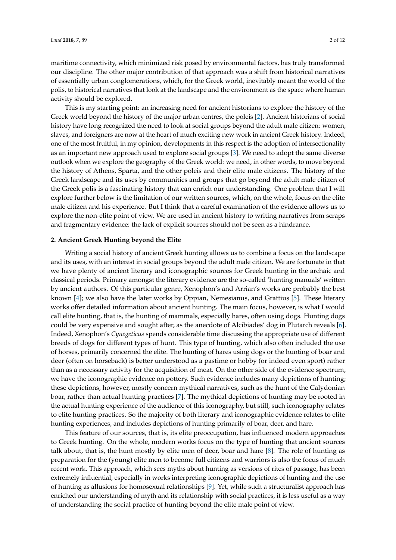maritime connectivity, which minimized risk posed by environmental factors, has truly transformed our discipline. The other major contribution of that approach was a shift from historical narratives of essentially urban conglomerations, which, for the Greek world, inevitably meant the world of the polis, to historical narratives that look at the landscape and the environment as the space where human activity should be explored.

This is my starting point: an increasing need for ancient historians to explore the history of the Greek world beyond the history of the major urban centres, the poleis [\[2\]](#page-7-1). Ancient historians of social history have long recognized the need to look at social groups beyond the adult male citizen: women, slaves, and foreigners are now at the heart of much exciting new work in ancient Greek history. Indeed, one of the most fruitful, in my opinion, developments in this respect is the adoption of intersectionality as an important new approach used to explore social groups [\[3\]](#page-7-2). We need to adopt the same diverse outlook when we explore the geography of the Greek world: we need, in other words, to move beyond the history of Athens, Sparta, and the other poleis and their elite male citizens. The history of the Greek landscape and its uses by communities and groups that go beyond the adult male citizen of the Greek polis is a fascinating history that can enrich our understanding. One problem that I will explore further below is the limitation of our written sources, which, on the whole, focus on the elite male citizen and his experience. But I think that a careful examination of the evidence allows us to explore the non-elite point of view. We are used in ancient history to writing narratives from scraps and fragmentary evidence: the lack of explicit sources should not be seen as a hindrance.

#### **2. Ancient Greek Hunting beyond the Elite**

Writing a social history of ancient Greek hunting allows us to combine a focus on the landscape and its uses, with an interest in social groups beyond the adult male citizen. We are fortunate in that we have plenty of ancient literary and iconographic sources for Greek hunting in the archaic and classical periods. Primary amongst the literary evidence are the so-called 'hunting manuals' written by ancient authors. Of this particular genre, Xenophon's and Arrian's works are probably the best known [\[4\]](#page-7-3); we also have the later works by Oppian, Nemesianus, and Grattius [\[5\]](#page-7-4). These literary works offer detailed information about ancient hunting. The main focus, however, is what I would call elite hunting, that is, the hunting of mammals, especially hares, often using dogs. Hunting dogs could be very expensive and sought after, as the anecdote of Alcibiades' dog in Plutarch reveals [\[6\]](#page-7-5). Indeed, Xenophon's *Cynegeticus* spends considerable time discussing the appropriate use of different breeds of dogs for different types of hunt. This type of hunting, which also often included the use of horses, primarily concerned the elite. The hunting of hares using dogs or the hunting of boar and deer (often on horseback) is better understood as a pastime or hobby (or indeed even sport) rather than as a necessary activity for the acquisition of meat. On the other side of the evidence spectrum, we have the iconographic evidence on pottery. Such evidence includes many depictions of hunting; these depictions, however, mostly concern mythical narratives, such as the hunt of the Calydonian boar, rather than actual hunting practices [\[7\]](#page-8-0). The mythical depictions of hunting may be rooted in the actual hunting experience of the audience of this iconography, but still, such iconography relates to elite hunting practices. So the majority of both literary and iconographic evidence relates to elite hunting experiences, and includes depictions of hunting primarily of boar, deer, and hare.

This feature of our sources, that is, its elite preoccupation, has influenced modern approaches to Greek hunting. On the whole, modern works focus on the type of hunting that ancient sources talk about, that is, the hunt mostly by elite men of deer, boar and hare [\[8\]](#page-8-1). The role of hunting as preparation for the (young) elite men to become full citizens and warriors is also the focus of much recent work. This approach, which sees myths about hunting as versions of rites of passage, has been extremely influential, especially in works interpreting iconographic depictions of hunting and the use of hunting as allusions for homosexual relationships [\[9\]](#page-8-2). Yet, while such a structuralist approach has enriched our understanding of myth and its relationship with social practices, it is less useful as a way of understanding the social practice of hunting beyond the elite male point of view.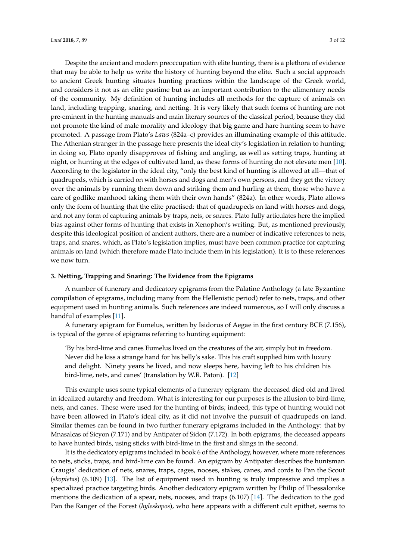Despite the ancient and modern preoccupation with elite hunting, there is a plethora of evidence that may be able to help us write the history of hunting beyond the elite. Such a social approach to ancient Greek hunting situates hunting practices within the landscape of the Greek world, and considers it not as an elite pastime but as an important contribution to the alimentary needs of the community. My definition of hunting includes all methods for the capture of animals on land, including trapping, snaring, and netting. It is very likely that such forms of hunting are not pre-eminent in the hunting manuals and main literary sources of the classical period, because they did not promote the kind of male morality and ideology that big game and hare hunting seem to have promoted. A passage from Plato's *Laws* (824a–c) provides an illuminating example of this attitude. The Athenian stranger in the passage here presents the ideal city's legislation in relation to hunting; in doing so, Plato openly disapproves of fishing and angling, as well as setting traps, hunting at night, or hunting at the edges of cultivated land, as these forms of hunting do not elevate men [\[10\]](#page-8-3). According to the legislator in the ideal city, "only the best kind of hunting is allowed at all—that of quadrupeds, which is carried on with horses and dogs and men's own persons, and they get the victory over the animals by running them down and striking them and hurling at them, those who have a care of godlike manhood taking them with their own hands" (824a). In other words, Plato allows only the form of hunting that the elite practised: that of quadrupeds on land with horses and dogs, and not any form of capturing animals by traps, nets, or snares. Plato fully articulates here the implied bias against other forms of hunting that exists in Xenophon's writing. But, as mentioned previously, despite this ideological position of ancient authors, there are a number of indicative references to nets, traps, and snares, which, as Plato's legislation implies, must have been common practice for capturing animals on land (which therefore made Plato include them in his legislation). It is to these references we now turn.

#### **3. Netting, Trapping and Snaring: The Evidence from the Epigrams**

A number of funerary and dedicatory epigrams from the Palatine Anthology (a late Byzantine compilation of epigrams, including many from the Hellenistic period) refer to nets, traps, and other equipment used in hunting animals. Such references are indeed numerous, so I will only discuss a handful of examples [\[11\]](#page-8-4).

A funerary epigram for Eumelus, written by Isidorus of Aegae in the first century BCE (7.156), is typical of the genre of epigrams referring to hunting equipment:

'By his bird-lime and canes Eumelus lived on the creatures of the air, simply but in freedom. Never did he kiss a strange hand for his belly's sake. This his craft supplied him with luxury and delight. Ninety years he lived, and now sleeps here, having left to his children his bird-lime, nets, and canes' (translation by W.R. Paton). [\[12\]](#page-9-0)

This example uses some typical elements of a funerary epigram: the deceased died old and lived in idealized autarchy and freedom. What is interesting for our purposes is the allusion to bird-lime, nets, and canes. These were used for the hunting of birds; indeed, this type of hunting would not have been allowed in Plato's ideal city, as it did not involve the pursuit of quadrupeds on land. Similar themes can be found in two further funerary epigrams included in the Anthology: that by Mnasalcas of Sicyon (7.171) and by Antipater of Sidon (7.172). In both epigrams, the deceased appears to have hunted birds, using sticks with bird-lime in the first and slings in the second.

It is the dedicatory epigrams included in book 6 of the Anthology, however, where more references to nets, sticks, traps, and bird-lime can be found. An epigram by Antipater describes the huntsman Craugis' dedication of nets, snares, traps, cages, nooses, stakes, canes, and cords to Pan the Scout (*skopietas*) (6.109) [\[13\]](#page-9-1). The list of equipment used in hunting is truly impressive and implies a specialized practice targeting birds. Another dedicatory epigram written by Philip of Thessalonike mentions the dedication of a spear, nets, nooses, and traps (6.107) [\[14\]](#page-9-2). The dedication to the god Pan the Ranger of the Forest (*hyleskopos*), who here appears with a different cult epithet, seems to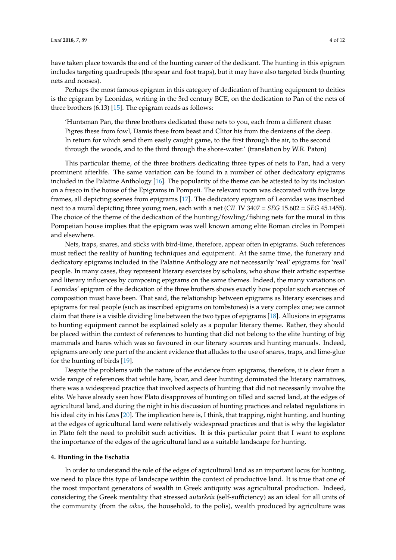have taken place towards the end of the hunting career of the dedicant. The hunting in this epigram includes targeting quadrupeds (the spear and foot traps), but it may have also targeted birds (hunting nets and nooses).

Perhaps the most famous epigram in this category of dedication of hunting equipment to deities is the epigram by Leonidas, writing in the 3rd century BCE, on the dedication to Pan of the nets of three brothers (6.13) [\[15\]](#page-9-3). The epigram reads as follows:

'Huntsman Pan, the three brothers dedicated these nets to you, each from a different chase: Pigres these from fowl, Damis these from beast and Clitor his from the denizens of the deep. In return for which send them easily caught game, to the first through the air, to the second through the woods, and to the third through the shore-water.' (translation by W.R. Paton)

This particular theme, of the three brothers dedicating three types of nets to Pan, had a very prominent afterlife. The same variation can be found in a number of other dedicatory epigrams included in the Palatine Anthology [\[16\]](#page-9-4). The popularity of the theme can be attested to by its inclusion on a fresco in the house of the Epigrams in Pompeii. The relevant room was decorated with five large frames, all depicting scenes from epigrams [\[17\]](#page-9-5). The dedicatory epigram of Leonidas was inscribed next to a mural depicting three young men, each with a net (*CIL* IV 3407 = *SEG* 15.602 = *SEG* 45.1455). The choice of the theme of the dedication of the hunting/fowling/fishing nets for the mural in this Pompeiian house implies that the epigram was well known among elite Roman circles in Pompeii and elsewhere.

Nets, traps, snares, and sticks with bird-lime, therefore, appear often in epigrams. Such references must reflect the reality of hunting techniques and equipment. At the same time, the funerary and dedicatory epigrams included in the Palatine Anthology are not necessarily 'real' epigrams for 'real' people. In many cases, they represent literary exercises by scholars, who show their artistic expertise and literary influences by composing epigrams on the same themes. Indeed, the many variations on Leonidas' epigram of the dedication of the three brothers shows exactly how popular such exercises of composition must have been. That said, the relationship between epigrams as literary exercises and epigrams for real people (such as inscribed epigrams on tombstones) is a very complex one; we cannot claim that there is a visible dividing line between the two types of epigrams [\[18\]](#page-9-6). Allusions in epigrams to hunting equipment cannot be explained solely as a popular literary theme. Rather, they should be placed within the context of references to hunting that did not belong to the elite hunting of big mammals and hares which was so favoured in our literary sources and hunting manuals. Indeed, epigrams are only one part of the ancient evidence that alludes to the use of snares, traps, and lime-glue for the hunting of birds [\[19\]](#page-9-7).

Despite the problems with the nature of the evidence from epigrams, therefore, it is clear from a wide range of references that while hare, boar, and deer hunting dominated the literary narratives, there was a widespread practice that involved aspects of hunting that did not necessarily involve the elite. We have already seen how Plato disapproves of hunting on tilled and sacred land, at the edges of agricultural land, and during the night in his discussion of hunting practices and related regulations in his ideal city in his *Laws* [\[20\]](#page-9-8). The implication here is, I think, that trapping, night hunting, and hunting at the edges of agricultural land were relatively widespread practices and that is why the legislator in Plato felt the need to prohibit such activities. It is this particular point that I want to explore: the importance of the edges of the agricultural land as a suitable landscape for hunting.

#### **4. Hunting in the Eschatia**

In order to understand the role of the edges of agricultural land as an important locus for hunting, we need to place this type of landscape within the context of productive land. It is true that one of the most important generators of wealth in Greek antiquity was agricultural production. Indeed, considering the Greek mentality that stressed *autarkeia* (self-sufficiency) as an ideal for all units of the community (from the *oikos*, the household, to the polis), wealth produced by agriculture was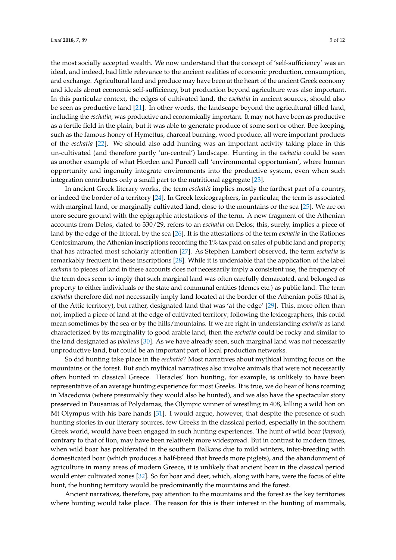the most socially accepted wealth. We now understand that the concept of 'self-sufficiency' was an ideal, and indeed, had little relevance to the ancient realities of economic production, consumption, and exchange. Agricultural land and produce may have been at the heart of the ancient Greek economy and ideals about economic self-sufficiency, but production beyond agriculture was also important. In this particular context, the edges of cultivated land, the *eschatia* in ancient sources, should also be seen as productive land [\[21\]](#page-9-9). In other words, the landscape beyond the agricultural tilled land, including the *eschatia*, was productive and economically important. It may not have been as productive as a fertile field in the plain, but it was able to generate produce of some sort or other. Bee-keeping, such as the famous honey of Hymettus, charcoal burning, wood produce, all were important products of the *eschatia* [\[22\]](#page-9-10). We should also add hunting was an important activity taking place in this un-cultivated (and therefore partly 'un-central') landscape. Hunting in the *eschatia* could be seen as another example of what Horden and Purcell call 'environmental opportunism', where human opportunity and ingenuity integrate environments into the productive system, even when such integration contributes only a small part to the nutritional aggregate [\[23\]](#page-10-0).

In ancient Greek literary works, the term *eschatia* implies mostly the farthest part of a country, or indeed the border of a territory [\[24\]](#page-10-1). In Greek lexicographers, in particular, the term is associated with marginal land, or marginally cultivated land, close to the mountains or the sea [\[25\]](#page-10-2). We are on more secure ground with the epigraphic attestations of the term. A new fragment of the Athenian accounts from Delos, dated to 330/29, refers to an *eschatia* on Delos; this, surely, implies a piece of land by the edge of the littoral, by the sea [\[26\]](#page-10-3). It is the attestations of the term *eschatia* in the Rationes Centesimarum, the Athenian inscriptions recording the 1% tax paid on sales of public land and property, that has attracted most scholarly attention [\[27\]](#page-10-4). As Stephen Lambert observed, the term *eschatia* is remarkably frequent in these inscriptions [\[28\]](#page-10-5). While it is undeniable that the application of the label *eschatia* to pieces of land in these accounts does not necessarily imply a consistent use, the frequency of the term does seem to imply that such marginal land was often carefully demarcated, and belonged as property to either individuals or the state and communal entities (demes etc.) as public land. The term *eschatia* therefore did not necessarily imply land located at the border of the Athenian polis (that is, of the Attic territory), but rather, designated land that was 'at the edge' [\[29\]](#page-10-6). This, more often than not, implied a piece of land at the edge of cultivated territory; following the lexicographers, this could mean sometimes by the sea or by the hills/mountains. If we are right in understanding *eschatia* as land characterized by its marginality to good arable land, then the *eschatia* could be rocky and similar to the land designated as *phelleus* [\[30\]](#page-10-7). As we have already seen, such marginal land was not necessarily unproductive land, but could be an important part of local production networks.

So did hunting take place in the *eschatia*? Most narratives about mythical hunting focus on the mountains or the forest. But such mythical narratives also involve animals that were not necessarily often hunted in classical Greece. Heracles' lion hunting, for example, is unlikely to have been representative of an average hunting experience for most Greeks. It is true, we do hear of lions roaming in Macedonia (where presumably they would also be hunted), and we also have the spectacular story preserved in Pausanias of Polydamas, the Olympic winner of wrestling in 408, killing a wild lion on Mt Olympus with his bare hands [\[31\]](#page-10-8). I would argue, however, that despite the presence of such hunting stories in our literary sources, few Greeks in the classical period, especially in the southern Greek world, would have been engaged in such hunting experiences. The hunt of wild boar (*kapros*), contrary to that of lion, may have been relatively more widespread. But in contrast to modern times, when wild boar has proliferated in the southern Balkans due to mild winters, inter-breeding with domesticated boar (which produces a half-breed that breeds more piglets), and the abandonment of agriculture in many areas of modern Greece, it is unlikely that ancient boar in the classical period would enter cultivated zones [\[32\]](#page-10-9). So for boar and deer, which, along with hare, were the focus of elite hunt, the hunting territory would be predominantly the mountains and the forest.

Ancient narratives, therefore, pay attention to the mountains and the forest as the key territories where hunting would take place. The reason for this is their interest in the hunting of mammals,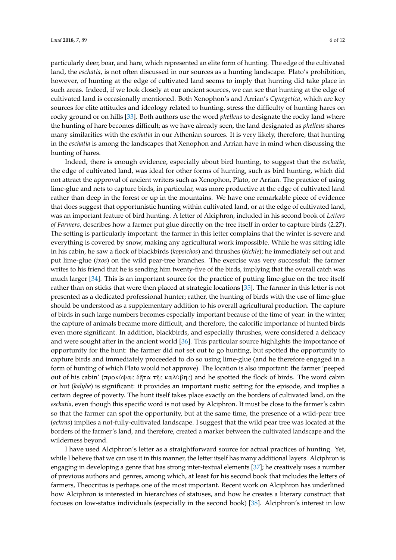particularly deer, boar, and hare, which represented an elite form of hunting. The edge of the cultivated land, the *eschatia*, is not often discussed in our sources as a hunting landscape. Plato's prohibition, however, of hunting at the edge of cultivated land seems to imply that hunting did take place in such areas. Indeed, if we look closely at our ancient sources, we can see that hunting at the edge of cultivated land is occasionally mentioned. Both Xenophon's and Arrian's *Cynegetica*, which are key sources for elite attitudes and ideology related to hunting, stress the difficulty of hunting hares on rocky ground or on hills [\[33\]](#page-10-10). Both authors use the word *phelleus* to designate the rocky land where the hunting of hare becomes difficult; as we have already seen, the land designated as *phelleus* shares many similarities with the *eschatia* in our Athenian sources. It is very likely, therefore, that hunting in the *eschatia* is among the landscapes that Xenophon and Arrian have in mind when discussing the hunting of hares.

Indeed, there is enough evidence, especially about bird hunting, to suggest that the *eschatia*, the edge of cultivated land, was ideal for other forms of hunting, such as bird hunting, which did not attract the approval of ancient writers such as Xenophon, Plato, or Arrian. The practice of using lime-glue and nets to capture birds, in particular, was more productive at the edge of cultivated land rather than deep in the forest or up in the mountains. We have one remarkable piece of evidence that does suggest that opportunistic hunting within cultivated land, or at the edge of cultivated land, was an important feature of bird hunting. A letter of Alciphron, included in his second book of *Letters of Farmers*, describes how a farmer put glue directly on the tree itself in order to capture birds (2.27). The setting is particularly important: the farmer in this letter complains that the winter is severe and everything is covered by snow, making any agricultural work impossible. While he was sitting idle in his cabin, he saw a flock of blackbirds (*kopsichos*) and thrushes (*kichle*); he immediately set out and put lime-glue (*ixos*) on the wild pear-tree branches. The exercise was very successful: the farmer writes to his friend that he is sending him twenty-five of the birds, implying that the overall catch was much larger [\[34\]](#page-11-0). This is an important source for the practice of putting lime-glue on the tree itself rather than on sticks that were then placed at strategic locations [\[35\]](#page-11-1). The farmer in this letter is not presented as a dedicated professional hunter; rather, the hunting of birds with the use of lime-glue should be understood as a supplementary addition to his overall agricultural production. The capture of birds in such large numbers becomes especially important because of the time of year: in the winter, the capture of animals became more difficult, and therefore, the calorific importance of hunted birds even more significant. In addition, blackbirds, and especially thrushes, were considered a delicacy and were sought after in the ancient world [\[36\]](#page-11-2). This particular source highlights the importance of opportunity for the hunt: the farmer did not set out to go hunting, but spotted the opportunity to capture birds and immediately proceeded to do so using lime-glue (and he therefore engaged in a form of hunting of which Plato would not approve). The location is also important: the farmer 'peeped out of his cabin' (πρoκύψας δῆτα τῆς καλύβης) and he spotted the flock of birds. The word cabin or hut (*kalybe*) is significant: it provides an important rustic setting for the episode, and implies a certain degree of poverty. The hunt itself takes place exactly on the borders of cultivated land, on the *eschatia*, even though this specific word is not used by Alciphron. It must be close to the farmer's cabin so that the farmer can spot the opportunity, but at the same time, the presence of a wild-pear tree (*achras*) implies a not-fully-cultivated landscape. I suggest that the wild pear tree was located at the borders of the farmer's land, and therefore, created a marker between the cultivated landscape and the wilderness beyond.

I have used Alciphron's letter as a straightforward source for actual practices of hunting. Yet, while I believe that we can use it in this manner, the letter itself has many additional layers. Alciphron is engaging in developing a genre that has strong inter-textual elements [\[37\]](#page-11-3); he creatively uses a number of previous authors and genres, among which, at least for his second book that includes the letters of farmers, Theocritus is perhaps one of the most important. Recent work on Alciphron has underlined how Alciphron is interested in hierarchies of statuses, and how he creates a literary construct that focuses on low-status individuals (especially in the second book) [\[38\]](#page-11-4). Alciphron's interest in low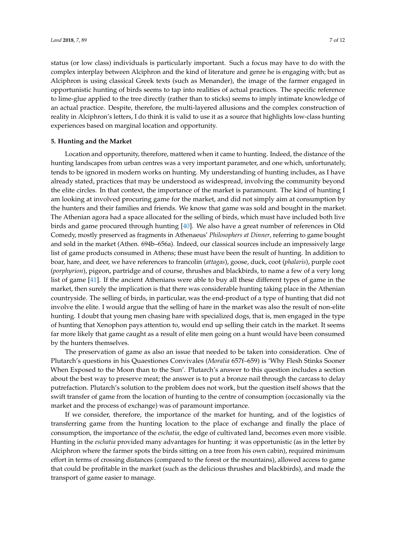status (or low class) individuals is particularly important. Such a focus may have to do with the complex interplay between Alciphron and the kind of literature and genre he is engaging with; but as Alciphron is using classical Greek texts (such as Menander), the image of the farmer engaged in opportunistic hunting of birds seems to tap into realities of actual practices. The specific reference to lime-glue applied to the tree directly (rather than to sticks) seems to imply intimate knowledge of an actual practice. Despite, therefore, the multi-layered allusions and the complex construction of reality in Alciphron's letters, I do think it is valid to use it as a source that highlights low-class hunting experiences based on marginal location and opportunity.

### **5. Hunting and the Market**

Location and opportunity, therefore, mattered when it came to hunting. Indeed, the distance of the hunting landscapes from urban centres was a very important parameter, and one which, unfortunately, tends to be ignored in modern works on hunting. My understanding of hunting includes, as I have already stated, practices that may be understood as widespread, involving the community beyond the elite circles. In that context, the importance of the market is paramount. The kind of hunting I am looking at involved procuring game for the market, and did not simply aim at consumption by the hunters and their families and friends. We know that game was sold and bought in the market. The Athenian agora had a space allocated for the selling of birds, which must have included both live birds and game procured through hunting [\[40\]](#page-11-5). We also have a great number of references in Old Comedy, mostly preserved as fragments in Athenaeus' *Philosophers at Dinner*, referring to game bought and sold in the market (Athen. 694b–656a). Indeed, our classical sources include an impressively large list of game products consumed in Athens; these must have been the result of hunting. In addition to boar, hare, and deer, we have references to francolin (*attagas*), goose, duck, coot (*phalaris*), purple coot (*porphyrion*), pigeon, partridge and of course, thrushes and blackbirds, to name a few of a very long list of game [\[41\]](#page-11-6). If the ancient Athenians were able to buy all these different types of game in the market, then surely the implication is that there was considerable hunting taking place in the Athenian countryside. The selling of birds, in particular, was the end-product of a type of hunting that did not involve the elite. I would argue that the selling of hare in the market was also the result of non-elite hunting. I doubt that young men chasing hare with specialized dogs, that is, men engaged in the type of hunting that Xenophon pays attention to, would end up selling their catch in the market. It seems far more likely that game caught as a result of elite men going on a hunt would have been consumed by the hunters themselves.

The preservation of game as also an issue that needed to be taken into consideration. One of Plutarch's questions in his Quaestiones Convivales (*Moralia* 657f–659) is 'Why Flesh Stinks Sooner When Exposed to the Moon than to the Sun'. Plutarch's answer to this question includes a section about the best way to preserve meat; the answer is to put a bronze nail through the carcass to delay putrefaction. Plutarch's solution to the problem does not work, but the question itself shows that the swift transfer of game from the location of hunting to the centre of consumption (occasionally via the market and the process of exchange) was of paramount importance.

If we consider, therefore, the importance of the market for hunting, and of the logistics of transferring game from the hunting location to the place of exchange and finally the place of consumption, the importance of the *eschatia*, the edge of cultivated land, becomes even more visible. Hunting in the *eschatia* provided many advantages for hunting: it was opportunistic (as in the letter by Alciphron where the farmer spots the birds sitting on a tree from his own cabin), required minimum effort in terms of crossing distances (compared to the forest or the mountains), allowed access to game that could be profitable in the market (such as the delicious thrushes and blackbirds), and made the transport of game easier to manage.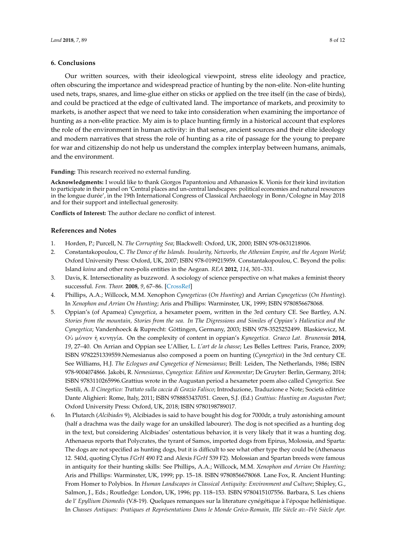#### **6. Conclusions**

Our written sources, with their ideological viewpoint, stress elite ideology and practice, often obscuring the importance and widespread practice of hunting by the non-elite. Non-elite hunting used nets, traps, snares, and lime-glue either on sticks or applied on the tree itself (in the case of birds), and could be practiced at the edge of cultivated land. The importance of markets, and proximity to markets, is another aspect that we need to take into consideration when examining the importance of hunting as a non-elite practice. My aim is to place hunting firmly in a historical account that explores the role of the environment in human activity: in that sense, ancient sources and their elite ideology and modern narratives that stress the role of hunting as a rite of passage for the young to prepare for war and citizenship do not help us understand the complex interplay between humans, animals, and the environment.

**Funding:** This research received no external funding.

**Acknowledgments:** I would like to thank Giorgos Papantoniou and Athanasios K. Vionis for their kind invitation to participate in their panel on 'Central places and un-central landscapes: political economies and natural resources in the longue durée', in the 19th International Congress of Classical Archaeology in Bonn/Cologne in May 2018 and for their support and intellectual generosity.

**Conflicts of Interest:** The author declare no conflict of interest.

#### **References and Notes**

- <span id="page-7-0"></span>1. Horden, P.; Purcell, N. *The Corrupting Sea*; Blackwell: Oxford, UK, 2000; ISBN 978-0631218906.
- <span id="page-7-1"></span>2. Constantakopoulou, C. *The Dance of the Islands. Insularity, Networks, the Athenian Empire, and the Aegean World*; Oxford University Press: Oxford, UK, 2007; ISBN 978-0199215959. Constantakopoulou, C. Beyond the polis: Island *koina* and other non-polis entities in the Aegean. *REA* **2012**, *114*, 301–331.
- <span id="page-7-2"></span>3. Davis, K. Intersectionality as buzzword. A sociology of science perspective on what makes a feminist theory successful. *Fem. Theor.* **2008**, *9*, 67–86. [\[CrossRef\]](http://dx.doi.org/10.1177/1464700108086364)
- <span id="page-7-3"></span>4. Phillips, A.A.; Willcock, M.M. Xenophon *Cynegeticus* (*On Hunting*) and Arrian *Cynegeticus* (*On Hunting*). In *Xenophon and Arrian On Hunting*; Aris and Phillips: Warminster, UK, 1999; ISBN 9780856678068.
- <span id="page-7-4"></span>5. Oppian's (of Apamea) *Cynegetica*, a hexameter poem, written in the 3rd century CE. See Bartley, A.N. *Stories from the mountain, Stories from the sea. In The Digressions and Similes of Oppian's Halieutica and the Cynegetica*; Vandenhoeck & Ruprecht: Göttingen, Germany, 2003; ISBN 978-3525252499. Blaskiewicz, M. Οὐ µόνoν ἡ κυνηγία. On the complexity of content in oppian's *Kynegetica*. *Graeco Lat. Brunensia* **2014**, *19*, 27–40. On Arrian and Oppian see L'Allier, L. *L'art de la chasse*; Les Belles Lettres: Paris, France, 2009; ISBN 9782251339559.Nemesianus also composed a poem on hunting (*Cynegetica*) in the 3rd century CE. See Williams, H.J. *The Eclogues and Cynegetica of Nemesianus*; Brill: Leiden, The Netherlands, 1986; ISBN 978-9004074866. Jakobi, R. *Nemesianus, Cynegetica: Edition und Kommentar*; De Gruyter: Berlin, Germany, 2014; ISBN 9783110265996.Grattius wrote in the Augustan period a hexameter poem also called *Cynegetica.* See Sestili, A. *Il Cinegetico: Trattato sulla caccia di Grazio Falisco*; Introduzione, Traduzione e Note; Società editrice Dante Alighieri: Rome, Italy, 2011; ISBN 9788853437051. Green, S.J. (Ed.) *Grattius: Hunting an Augustan Poet*; Oxford University Press: Oxford, UK, 2018; ISBN 9780198789017.
- <span id="page-7-5"></span>6. In Plutarch (*Alcibiades* 9), Alcibiades is said to have bought his dog for 7000dr, a truly astonishing amount (half a drachma was the daily wage for an unskilled labourer). The dog is not specified as a hunting dog in the text, but considering Alcibiades' ostentatious behavior, it is very likely that it was a hunting dog. Athenaeus reports that Polycrates, the tyrant of Samos, imported dogs from Epirus, Molossia, and Sparta: The dogs are not specified as hunting dogs, but it is difficult to see what other type they could be (Athenaeus 12. 540d, quoting Clytus *FGrH* 490 F2 and Alexis *FGrH* 539 F2). Molossian and Spartan breeds were famous in antiquity for their hunting skills: See Phillips, A.A.; Willcock, M.M. *Xenophon and Arrian On Hunting*; Aris and Phillips: Warminster, UK, 1999; pp. 15–18. ISBN 9780856678068. Lane Fox, R. Ancient Hunting: From Homer to Polybios. In *Human Landscapes in Classical Antiquity: Environment and Culture*; Shipley, G., Salmon, J., Eds.; Routledge: London, UK, 1996; pp. 118–153. ISBN 9780415107556. Barbara, S. Les chiens de l' *Epyllium Diomedis* (V.8-19). Quelques remarques sur la literature cynégétique à l'époque hellénistique. In *Chasses Antiques: Pratiques et Représentations Dans le Monde Gréco-Romain, IIIe Siècle av.–IVe Siècle Apr.*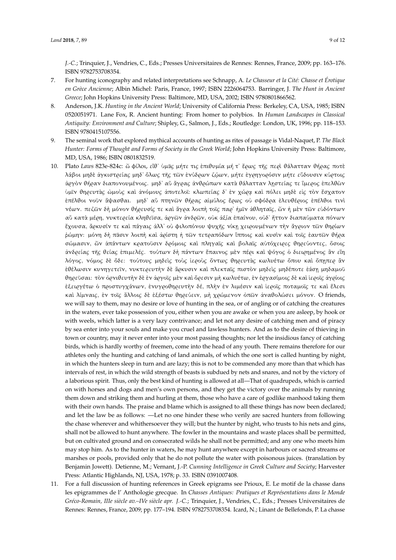J.-C.; Trinquier, J., Vendries, C., Eds.; Presses Universitaires de Rennes: Rennes, France, 2009; pp. 163–176. ISBN 9782753708354.

- <span id="page-8-0"></span>For hunting iconography and related interpretations see Schnapp, A. Le Chasseur et la Cité: Chasse et Érotique  $7^{\circ}$ en Grèce Ancienne; Albin Michel: Paris, France, 1997; ISBN 2226064753. Barringer, J. The Hunt in Ancient Greece; John Hopkins University Press: Baltimore, MD, USA, 2002; ISBN 9780801866562.
- <span id="page-8-1"></span>Anderson, J.K. Hunting in the Ancient World; University of California Press: Berkeley, CA, USA, 1985; ISBN 8. 0520051971. Lane Fox, R. Ancient hunting: From homer to polybios. In Human Landscapes in Classical Antiquity: Environment and Culture; Shipley, G., Salmon, J., Eds.; Routledge: London, UK, 1996; pp. 118-153. ISBN 9780415107556.
- <span id="page-8-2"></span>9. The seminal work that explored mythical accounts of hunting as rites of passage is Vidal-Naquet, P. The Black Hunter: Forms of Thought and Forms of Society in the Greek World; John Hopkins University Press: Baltimore, MD, USA, 1986; ISBN 0801832519.
- <span id="page-8-3"></span>10. Plato Laws 823e-824c: ὤ φίλοι, εἴθ' ὑμᾶς μήτε τις ἐπιθυμία μή τ' ἔρως τῆς περι θάλατταν θήρας ποτε λάβοι μηδέ άγκιστρείας μηδ' όλως τῆς τῶν ἐνύδρων ζώων, μήτε ἐγρηγορόσιν μήτε εὕδουσιν κύρτοις άργὸν θήραν διαπονουμένοις. μηδ' αὖ ἄγρας ἀνθρώπων κατὰ θάλατταν ληστείας τε ἴμερος ἐπελθὼν ύμῖν θηρευτὰς ώμους και ἀνόμους ἀποτελοϊ: κλωπείας δ' έν χώρα και πόλει μηδέ εις τον ἔσχατον έπέλθοι νοϋν άψασθαι. μηδ' αΰ πτηνῶν θήρας αίμύλος έρως οὐ σφόδρα έλευθέριος έπέλθοι τινί νέων. πεζῶν δή μόνον θήρευσίς τε και άγρα λοιπή τοῖς παρ' ήμῖν ἀθληταῖς, ῶν ή μεν τῶν ευδόντων αὕ κατὰ μέρη, νυκτερεία κληθεῖσα, ἀργῶν ἀνδρῶν, οὐκ ἀξία ἐπαίνου, οὐδ' ἦττον διαπαύματα πόνων έχουσα, ἄρκυσίν τε και πάγαις άλλ' οὐ φιλοπόνου ψυχῆς νίκη χειρουμένων την ἄγριον τῶν θηρίων ρώμην: μόνη δὴ πᾶσιν λοιπὴ καὶ ἀρίστη ἡ τῶν τετραπόδων ἴπποις καὶ κυσὶν καὶ τοῖς ἑαυτῶν θήρα σώμασιν, ὤν απάντων κρατούσιν δρόμοις και πληγαΐς και βολαΐς αυτόχειρες θηρεύοντες, ὄσοις άνδρείας της θείας έπιμελές. τούτων δη πάντων έπαινος μέν πέρι και ψόγος ο διειρημένος ἂν εἴη λόγος, νόμος δε ὄδε: τούτους μηδείς τους ίερους όντως θηρευτάς κωλυέτω ὄπου καί ὄπηπερ ἂν έθέλωσιν κυνηγετεῖν, νυκτερευτὴν δὲ ἄρκυσιν καὶ πλεκταῖς πιστὸν μηδεὶς μηδέποτε ἐάσῃ μηδαμοῦ θηρεῦσαι: τὸν ὀρνιθευτὴν δὲ ἐν ἀργοῖς μὲν καὶ ὄρεσιν μὴ κωλυέτω, ἐν ἐργασίμοις δὲ καὶ ἱεροῖς ἀγρίοις έξειργέτω ο προστυγχάνων, ένυγροθηρευτήν δέ, πλήν έν λιμέσιν και ιεροϊς ποταμοϊς τε και έλεσι και λίμναις, έν τοΐς άλλοις δε εξέστω θηρεύειν, μη χρώμενον όπων αναθολώσει μόνον. Ο friends, we will say to them, may no desire or love of hunting in the sea, or of angling or of catching the creatures in the waters, ever take possession of you, either when you are awake or when you are asleep, by hook or with weels, which latter is a very lazy contrivance; and let not any desire of catching men and of piracy by sea enter into your souls and make you cruel and lawless hunters. And as to the desire of thieving in town or country, may it never enter into your most passing thoughts; nor let the insidious fancy of catching birds, which is hardly worthy of freemen, come into the head of any youth. There remains therefore for our athletes only the hunting and catching of land animals, of which the one sort is called hunting by night, in which the hunters sleep in turn and are lazy; this is not to be commended any more than that which has intervals of rest, in which the wild strength of beasts is subdued by nets and snares, and not by the victory of a laborious spirit. Thus, only the best kind of hunting is allowed at all-That of quadrupeds, which is carried on with horses and dogs and men's own persons, and they get the victory over the animals by running them down and striking them and hurling at them, those who have a care of godlike manhood taking them with their own hands. The praise and blame which is assigned to all these things has now been declared; and let the law be as follows: —Let no one hinder these who verily are sacred hunters from following the chase wherever and whithersoever they will; but the hunter by night, who trusts to his nets and gins, shall not be allowed to hunt anywhere. The fowler in the mountains and waste places shall be permitted, but on cultivated ground and on consecrated wilds he shall not be permitted; and any one who meets him may stop him. As to the hunter in waters, he may hunt anywhere except in harbours or sacred streams or marshes or pools, provided only that he do not pollute the water with poisonous juices. (translation by Benjamin Jowett). Detienne, M.; Vernant, J.-P. Cunning Intelligence in Greek Culture and Society; Harvester Press: Atlantic Highlands, NJ, USA, 1978; p. 33. ISBN 0391007408.
- <span id="page-8-4"></span> $11.$ For a full discussion of hunting references in Greek epigrams see Prioux, E. Le motif de la chasse dans les epigrammes de l'Anthologie grecque. In Chasses Antiques: Pratiques et Représentations dans le Monde Gréco-Romain, IIIe siècle av.-IVe siècle apr. J.-C.; Trinquier, J., Vendries, C., Eds.; Presses Universitaires de Rennes: Rennes, France, 2009; pp. 177-194. ISBN 9782753708354. Icard, N.; Linant de Bellefonds, P. La chasse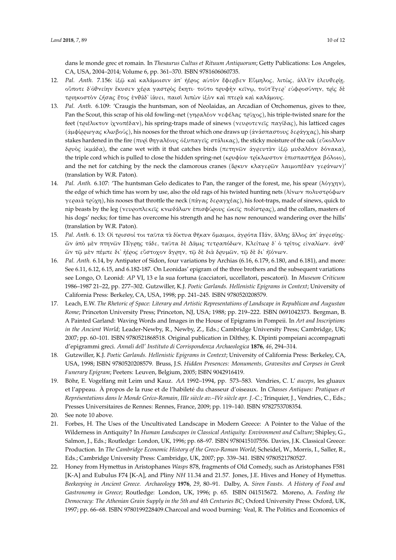dans le monde grec et romain. In *Thesaurus Cultus et Rituum Antiquorum*; Getty Publications: Los Angeles, CA, USA, 2004–2014; Volume 6, pp. 361–370. ISBN 9781606060735.

- <span id="page-9-0"></span>12. *Pal. Anth.* 7.156: ἰξῷ καὶ καλάµοισιν ἀπ᾿ ἠέ*\$*ο*ς* αὑτὸν ἔφε*\$*βεν Εὔµηλο*ς*, λιτὼ*ς*, ἀλλ᾿ἐν ἐλευθε*\$*ίῃ. οὔποτε δ᾿ὀθνείην ἔκυσεν χέ*\$*α γαστ*\$*ὸ*ς* ἕκητι· τοῦτο τ*\$*υφὴν κεῖνῳ, τοῦτ᾿ἔγε*\$*᾿ εὐφ*\$*οσύνην, τ*\$*ὶ*ς* δὲ τ*\$*ιηκοστὸν ζήσα*ς* ἔτο*ς* ἐνθάδ᾿ ἰάυει, παισὶ λιπὼν ἰξὸν καὶ πτε*\$*ὰ καὶ καλάµου*ς*.
- <span id="page-9-1"></span>13. *Pal. Anth.* 6.109: 'Craugis the huntsman, son of Neolaidas, an Arcadian of Orchomenus, gives to thee, Pan the Scout, this scrap of his old fowling–net (γηραλέον νεφέλα*ς* τρῦχο*ς*), his triple-twisted snare for the feet (τ*\$*ιέλικτον ἰχνοπέδαν), his spring-traps made of sinews (νευ*\$*οτενεῖ*ς* παγίδα*ς*), his latticed cages (ἀµφί*\$\$*ωγα*ς* κλωβού*ς*), his nooses for the throat which one draws up (ἀνάσπαστου*ς* δε*\$*άγχα*ς*), his sharp stakes hardened in the fire (πυ*\$*ὶ θηγαλέου*ς* ὀξυπαγεῖ*ς* στάλικα*ς*), the sticky moisture of the oak (εὔκολλον δ*\$*υὸ*ς* ἰκµάδα), the cane wet with it that catches birds (πετηνῶν ἀγ*\$*ευτὰν ἰξῷ µυδαλέον δόνακα), the triple cord which is pulled to close the hidden spring-net (κρυφίου τρίκλωστον ἐπισπαστῆρα βόλοιο), and the net for catching by the neck the clamorous cranes (ἄρκυν κλαγερῶν λαιμοπέδαν γεράνων)' (translation by W.R. Paton).
- <span id="page-9-2"></span>14. *Pal. Anth.* 6.107: 'The huntsman Gelo dedicates to Pan, the ranger of the forest, me, his spear (λόγχην), the edge of which time has worn by use, also the old rags of his twisted hunting nets (λίνων πολυστρόφων γε*\$*αιὰ τ*\$*ύχη), his nooses that throttle the neck (πάγα*ς* δε*\$*αγχέα*ς*), his foot-traps, made of sinews, quick to nip beasts by the leg (νευ*\$*οπλεκεῖ*ς* κνωδάλων ἐπισφύ*\$*ου*ς* ὠκεῖ*ς* ποδίστ*\$*α*ς*), and the collars, masters of his dogs' necks; for time has overcome his strength and he has now renounced wandering over the hills' (translation by W.R. Paton).
- <span id="page-9-3"></span>15. *Pal. Anth.* 6. 13: Οἱ τ*\$*ισσοί τοι ταῦτα τὰ δίκτυα θῆκαν ὅµαιµοι, ἀγ*\$*ότα Πάν, ἄλλη*ς* ἄλλο*ς* ἀπ᾿ ἀγ*\$*εσίη*ς*· ὧν ἀπὸ µὲν πτηνῶν Πίγ*\$*η*ς* τάδε, ταῦτα δὲ ∆ᾶµι*ς* τετ*\$*απόδων, Κλείτω*\$* δ᾿ ὁ τ*\$*ίτο*ς* εἰναλίων. ἀνθ᾿ ὧν τῷ µὲν πέµπε δι᾿ ἠέ*\$*ο*ς* εὔστοχον ἄγ*\$*ην, τῷ δὲ διὰ δ*\$*υµῶν, τῷ δὲ δι᾿ ἠϊόνων.
- <span id="page-9-4"></span>16. *Pal. Anth.* 6.14, by Antipater of Sidon, four variations by Archias (6.16, 6.179, 6.180, and 6.181), and more: See 6.11, 6.12, 6.15, and 6.182-187. On Leonidas' epigram of the three brothers and the subsequent variations see Longo, O. Leonid: *AP* VI, 13 e la sua fortuna (cacciatori, uccellatori, pescatori). In *Museum Criticum* 1986–1987 21–22, pp. 277–302. Gutzwiller, K.J. *Poetic Garlands. Hellenistic Epigrams in Context*; University of California Press: Berkeley, CA, USA, 1998; pp. 241–245. ISBN 9780520208579.
- <span id="page-9-5"></span>17. Leach, E.W. *The Rhetoric of Space: Literary and Artistic Representations of Landscape in Republican and Augustan Rome*; Princeton University Press; Princeton, NJ, USA; 1988; pp. 219–222. ISBN 0691042373. Bergman, B. A Painted Garland: Waving Words and Images in the House of Epigrams in Pompeii. In *Art and Inscriptions in the Ancient World*; Leader-Newby, R., Newby, Z., Eds.; Cambridge University Press; Cambridge, UK; 2007; pp. 60–101. ISBN 9780521868518. Original publication in Dilthey, K. Dipinti pompeiani accompagnati d'epigrammi greci. *Annali dell' Instituto di Corrispondenza Archaeologica* **1876**, *46*, 294–314.
- <span id="page-9-6"></span>18. Gutzwiller, K.J. *Poetic Garlands. Hellenistic Epigrams in Context*; University of California Press: Berkeley, CA, USA, 1998; ISBN 9780520208579. Bruss, J.S. *Hidden Presences: Monuments, Gravesites and Corpses in Greek Funerary Epigram*; Peeters: Leuven, Belgium, 2005; ISBN 9042916419.
- <span id="page-9-7"></span>19. Böhr, E. Vogelfang mit Leim und Kauz. *AA* 1992–1994, pp. 573–583. Vendries, C. L' *auceps*, les gluaux et l'appeau. À propos de la ruse et de l'habileté du chasseur d'oiseaux. In *Chasses Antiques: Pratiques et Représentations dans le Monde Gréco-Romain, IIIe siècle av.–IVe siècle apr. J.-C.*; Trinquier, J., Vendries, C., Eds.; Presses Universitaires de Rennes: Rennes, France, 2009; pp. 119–140. ISBN 9782753708354.
- <span id="page-9-8"></span>20. See note 10 above.
- <span id="page-9-9"></span>21. Forbes, H. The Uses of the Uncultivated Landscape in Modern Greece: A Pointer to the Value of the Wilderness in Antiquity? In *Human Landscapes in Classical Antiquity: Environment and Culture*; Shipley, G., Salmon, J., Eds.; Routledge: London, UK, 1996; pp. 68–97. ISBN 9780415107556. Davies, J.K. Classical Greece: Production. In *The Cambridge Economic History of the Greco-Roman World*; Scheidel, W., Morris, I., Saller, R., Eds.; Cambridge University Press: Cambridge, UK, 2007; pp. 339–341. ISBN 9780521780527.
- <span id="page-9-10"></span>22. Honey from Hymettus in Aristophanes *Wasps* 878, fragments of Old Comedy, such as Aristophanes F581 [K-A] and Eubulus F74 [K-A], and Pliny *NH* 11.34 and 21.57. Jones, J.E. Hives and Honey of Hymettus. *Beekeeping in Ancient Greece. Archaeology* **1976**, *29*, 80–91. Dalby, A. *Siren Feasts. A History of Food and Gastronomy in Greece*; Routledge: London, UK, 1996; p. 65. ISBN 041515672. Moreno, A. *Feeding the Democracy: The Athenian Grain Supply in the 5th and 4th Centuries BC*; Oxford University Press: Oxford, UK, 1997; pp. 66–68. ISBN 9780199228409.Charcoal and wood burning: Veal, R. The Politics and Economics of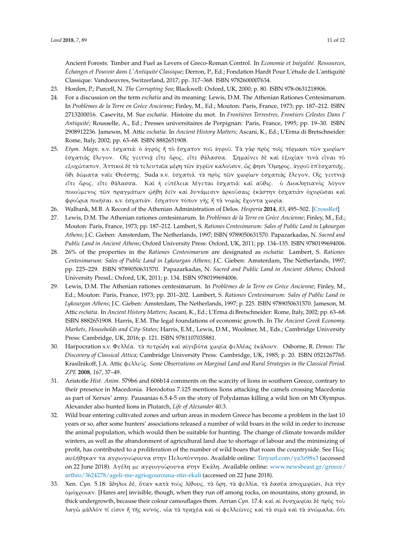Ancient Forests: Timber and Fuel as Levers of Greco-Roman Control. In Economie et Inégalité. Ressources, Échanges et Pouvoir dans L'Antiquité Classique; Derron, P., Ed.; Fondation Hardt Pour L'étude de L'antiquité Classique: Vandoeuvres, Switzerland, 2017; pp. 317-368. ISBN 9782600007634.

- <span id="page-10-0"></span>23. Horden, P.; Purcell, N. The Corrupting Sea; Blackwell: Oxford, UK, 2000; p. 80. ISBN 978-0631218906.
- <span id="page-10-1"></span>24. For a discussion on the term *eschatia* and its meaning: Lewis, D.M. The Athenian Rationes Centesimarum. In Problèmes de la Terre en Grèce Ancienne; Finley, M., Ed.; Mouton: Paris, France, 1973; pp. 187-212. ISBN 2713200016. Casevitz, M. Sur eschatia. Histoire du mot. In Frontières Terrestres, Frontiers Celestes Dans l' Antiquité; Rousselle, A., Ed.; Presses universitaires de Perpignan: Paris, France, 1995; pp. 19–30. ISBN 2908912236. Jameson, M. Attic eschatia. In Ancient History Matters; Ascani, K., Ed.; L'Erma di Bretschneider: Rome, Italy, 2002; pp. 63-68. ISBN 8882651908.
- <span id="page-10-2"></span>25. Εtym. Magn. s.v. εσχατιά: ο άγρός ή το έσχατον του άγρου. Τα γαρ προς τοις τέρμασι των χωρίων έσχατιάς έλεγον. Οΐς γειτνια είτε όρος, είτε θάλασσα. Σημαίνει δε και εξοχίαν τινά είναι το εξοχώτατον, Άττικοί δε τα τελευταΐα μέρη τῶν ἀγρῶν καλοῦσιν, ὥς φησι Όμηρος, ἀγροῦ ἐπ'εσχατιῆς, δθι δώματα ναϊε Θυέστης. Suda s.v. έσχατιά. τα προς των χωρίων έσχατιας έλεγον, Οίς γειτνιά είτε όρος, είτε θάλασσα. Καί ή εύτέλεια λέγεται έσχατιά: και αύθις. ο Διοκλητιανός λόγον ποιούμενος των πραγμάτων ώήθη δεϊν και δυνάμεσιν άρκούσαις εκάστην εσχατιαν όχυρωσαι και φρούρια ποιήσαι. s.v. έσχατιάν. έσχατον τόπον γής ή τα νομας έχοντα χωρία.
- <span id="page-10-3"></span>26. Walbank, M.B. A Record of the Athenian Administration of Delos. Hesperia 2014, 83, 495-502. [CrossRef]
- <span id="page-10-4"></span>27. Lewis, D.M. The Athenian rationes centesimarum. In Problèmes de la Terre en Grèce Ancienne; Finley, M., Ed.; Mouton: Paris, France, 1973; pp. 187-212. Lambert, S. Rationes Centesimarum: Sales of Public Land in Lykourgan Athens; J.C. Gieben: Amsterdam, The Netherlands, 1997; ISBN 9789050631570. Papazarkadas, N. Sacred and Public Land in Ancient Athens; Oxford University Press: Oxford, UK, 2011; pp. 134-135. ISBN 9780199694006.
- <span id="page-10-5"></span>28. 26% of the properties in the Rationes Centesimarum are designated as eschatia: Lambert, S. Rationes Centesimarum: Sales of Public Land in Lykourgan Athens; J.C. Gieben: Amsterdam, The Netherlands, 1997; pp. 225-229. ISBN 9789050631570. Papazarkadas, N. Sacred and Public Land in Ancient Athens; Oxford University PressL: Oxford, UK, 2011; p. 134. ISBN 9780199694006.
- <span id="page-10-6"></span>29. Lewis, D.M. The Athenian rationes centesimarum. In Problèmes de la Terre en Grèce Ancienne; Finley, M., Ed.; Mouton: Paris, France, 1973; pp. 201-202. Lambert, S. Rationes Centesimarum: Sales of Public Land in Lykourgan Athens; J.C. Gieben: Amsterdam, The Netherlands, 1997; p. 225. ISBN 9789050631570. Jameson, M. Attic eschatia. In Ancient History Matters; Ascani, K., Ed.; L'Erma di Bretschneider: Rome, Italy, 2002; pp. 63-68. ISBN 8882651908. Harris, E.M. The legal foundations of economic growth. In The Ancient Greek Economy. Markets, Households and City-States; Harris, E.M., Lewis, D.M., Woolmer, M., Eds.; Cambridge University Press: Cambridge, UK, 2016; p. 121. ISBN 9781107035881.
- <span id="page-10-7"></span>30. Harpocration s.v. Φελλέα. τὰ πετρώδη καὶ αἰγιβότα χωρία φελλέας ἐκάλουν. Osborne, R. Demos: The Discovery of Classical Attica; Cambridge University Press: Cambridge, UK, 1985; p. 20. ISBN 0521267765. Krasilnikoff, J.A. Attic φελλεύς. Some Observations on Marginal Land and Rural Strategies in the Classical Period. ZPE 2008, 167, 37-49.
- <span id="page-10-8"></span>31. Aristotle Hist. Anim. 579b6 and 606b14 comments on the scarcity of lions in southern Greece, contrary to their presence in Macedonia. Herodotus 7.125 mentions lions attacking the camels crossing Macedonia as part of Xerxes' army. Pausanias 6.5.4-5 on the story of Polydamas killing a wild lion on Mt Olympus. Alexander also hunted lions in Plutarch, Life of Alexander 40.3.
- <span id="page-10-9"></span>32. Wild boar entering cultivated zones and urban areas in modern Greece has become a problem in the last 10 years or so, after some hunters' associations released a number of wild boars in the wild in order to increase the animal population, which would then be suitable for hunting. The change of climate towards milder winters, as well as the abandonment of agricultural land due to shortage of labour and the minimizing of profit, has contributed to a proliferation of the number of wild boars that roam the countryside. See  $\Pi$  6 $\zeta$ αυξήθηκαν τα αγριογούρουνα στην Πελοπόννησο. Available online: Tinyurl.com/ya3z98x3 (accessed on 22 June 2018). Αγέλη με αγριογούρουνα στην Εκάλη. Available online: www.newsbeast.gr/greece/ arthro/3624278/ageli-me-agriogourouna-stin-ekali (accessed on 22 June 2018).
- <span id="page-10-10"></span>33. Xen. Cyn. 5.18: άδηλοι δέ, όταν κατά τους λίθους, τά όρη, τά φελλία, τά δασέα άποχωρῶσι, διά την  $\delta$ μόχροιαν. [Hares are] invisible, though, when they run off among rocks, on mountains, stony ground, in thick undergrowth, because their colour camouflages them. Arrian Cyn. 17.4: καὶ αἱ δυσχωρίαι δὲ πρὸς τοὺ λαγὼ μᾶλλόν τί εἶσιν ἢ τῆς κυνός, οἶα τὰ τϱαχέα καὶ οἱ φελλεῶνες καὶ τὰ σιμὰ καὶ τὰ ἀνώμαλα, ὅτι